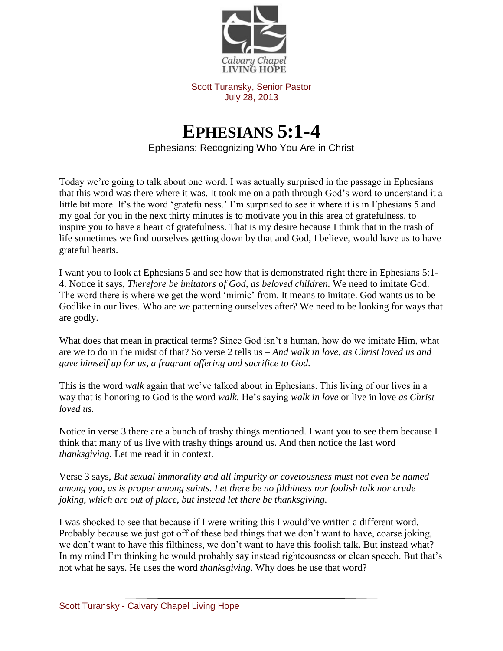

Scott Turansky, Senior Pastor July 28, 2013

**EPHESIANS 5:1-4**

Ephesians: Recognizing Who You Are in Christ

Today we're going to talk about one word. I was actually surprised in the passage in Ephesians that this word was there where it was. It took me on a path through God's word to understand it a little bit more. It's the word 'gratefulness.' I'm surprised to see it where it is in Ephesians 5 and my goal for you in the next thirty minutes is to motivate you in this area of gratefulness, to inspire you to have a heart of gratefulness. That is my desire because I think that in the trash of life sometimes we find ourselves getting down by that and God, I believe, would have us to have grateful hearts.

I want you to look at Ephesians 5 and see how that is demonstrated right there in Ephesians 5:1- 4. Notice it says, *Therefore be imitators of God, as beloved children.* We need to imitate God. The word there is where we get the word 'mimic' from. It means to imitate. God wants us to be Godlike in our lives. Who are we patterning ourselves after? We need to be looking for ways that are godly.

What does that mean in practical terms? Since God isn't a human, how do we imitate Him, what are we to do in the midst of that? So verse 2 tells us – *And walk in love, as Christ loved us and gave himself up for us, a fragrant offering and sacrifice to God.*

This is the word *walk* again that we've talked about in Ephesians. This living of our lives in a way that is honoring to God is the word *walk.* He's saying *walk in love* or live in love *as Christ loved us.*

Notice in verse 3 there are a bunch of trashy things mentioned. I want you to see them because I think that many of us live with trashy things around us. And then notice the last word *thanksgiving.* Let me read it in context.

Verse 3 says, *But sexual immorality and all impurity or covetousness must not even be named among you, as is proper among saints. Let there be no filthiness nor foolish talk nor crude joking, which are out of place, but instead let there be thanksgiving.*

I was shocked to see that because if I were writing this I would've written a different word. Probably because we just got off of these bad things that we don't want to have, coarse joking, we don't want to have this filthiness, we don't want to have this foolish talk. But instead what? In my mind I'm thinking he would probably say instead righteousness or clean speech. But that's not what he says. He uses the word *thanksgiving.* Why does he use that word?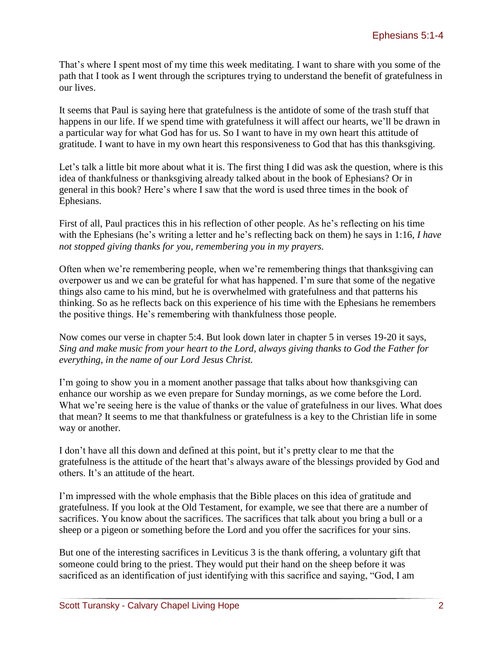That's where I spent most of my time this week meditating. I want to share with you some of the path that I took as I went through the scriptures trying to understand the benefit of gratefulness in our lives.

It seems that Paul is saying here that gratefulness is the antidote of some of the trash stuff that happens in our life. If we spend time with gratefulness it will affect our hearts, we'll be drawn in a particular way for what God has for us. So I want to have in my own heart this attitude of gratitude. I want to have in my own heart this responsiveness to God that has this thanksgiving.

Let's talk a little bit more about what it is. The first thing I did was ask the question, where is this idea of thankfulness or thanksgiving already talked about in the book of Ephesians? Or in general in this book? Here's where I saw that the word is used three times in the book of Ephesians.

First of all, Paul practices this in his reflection of other people. As he's reflecting on his time with the Ephesians (he's writing a letter and he's reflecting back on them) he says in 1:16, *I have not stopped giving thanks for you, remembering you in my prayers.*

Often when we're remembering people, when we're remembering things that thanksgiving can overpower us and we can be grateful for what has happened. I'm sure that some of the negative things also came to his mind, but he is overwhelmed with gratefulness and that patterns his thinking. So as he reflects back on this experience of his time with the Ephesians he remembers the positive things. He's remembering with thankfulness those people.

Now comes our verse in chapter 5:4. But look down later in chapter 5 in verses 19-20 it says, *Sing and make music from your heart to the Lord, always giving thanks to God the Father for everything, in the name of our Lord Jesus Christ.*

I'm going to show you in a moment another passage that talks about how thanksgiving can enhance our worship as we even prepare for Sunday mornings, as we come before the Lord. What we're seeing here is the value of thanks or the value of gratefulness in our lives. What does that mean? It seems to me that thankfulness or gratefulness is a key to the Christian life in some way or another.

I don't have all this down and defined at this point, but it's pretty clear to me that the gratefulness is the attitude of the heart that's always aware of the blessings provided by God and others. It's an attitude of the heart.

I'm impressed with the whole emphasis that the Bible places on this idea of gratitude and gratefulness. If you look at the Old Testament, for example, we see that there are a number of sacrifices. You know about the sacrifices. The sacrifices that talk about you bring a bull or a sheep or a pigeon or something before the Lord and you offer the sacrifices for your sins.

But one of the interesting sacrifices in Leviticus 3 is the thank offering, a voluntary gift that someone could bring to the priest. They would put their hand on the sheep before it was sacrificed as an identification of just identifying with this sacrifice and saying, "God, I am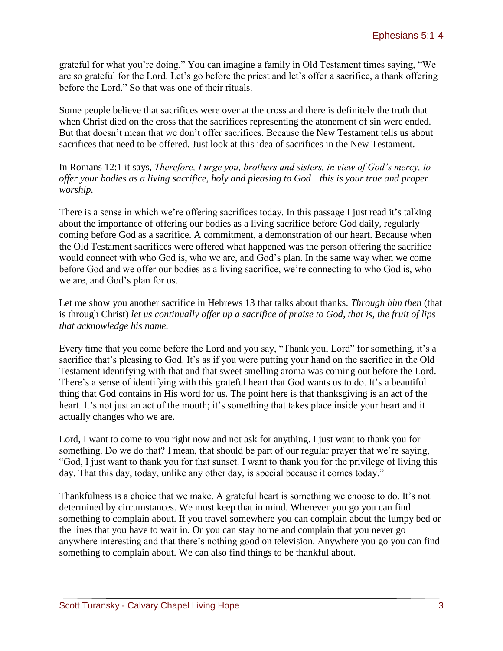grateful for what you're doing." You can imagine a family in Old Testament times saying, "We are so grateful for the Lord. Let's go before the priest and let's offer a sacrifice, a thank offering before the Lord." So that was one of their rituals.

Some people believe that sacrifices were over at the cross and there is definitely the truth that when Christ died on the cross that the sacrifices representing the atonement of sin were ended. But that doesn't mean that we don't offer sacrifices. Because the New Testament tells us about sacrifices that need to be offered. Just look at this idea of sacrifices in the New Testament.

In Romans 12:1 it says, *Therefore, I urge you, brothers and sisters, in view of God's mercy, to offer your bodies as a living sacrifice, holy and pleasing to God—this is your true and proper worship.*

There is a sense in which we're offering sacrifices today. In this passage I just read it's talking about the importance of offering our bodies as a living sacrifice before God daily, regularly coming before God as a sacrifice. A commitment, a demonstration of our heart. Because when the Old Testament sacrifices were offered what happened was the person offering the sacrifice would connect with who God is, who we are, and God's plan. In the same way when we come before God and we offer our bodies as a living sacrifice, we're connecting to who God is, who we are, and God's plan for us.

Let me show you another sacrifice in Hebrews 13 that talks about thanks. *Through him then* (that is through Christ) *let us continually offer up a sacrifice of praise to God, that is, the fruit of lips that acknowledge his name.*

Every time that you come before the Lord and you say, "Thank you, Lord" for something, it's a sacrifice that's pleasing to God. It's as if you were putting your hand on the sacrifice in the Old Testament identifying with that and that sweet smelling aroma was coming out before the Lord. There's a sense of identifying with this grateful heart that God wants us to do. It's a beautiful thing that God contains in His word for us. The point here is that thanksgiving is an act of the heart. It's not just an act of the mouth; it's something that takes place inside your heart and it actually changes who we are.

Lord, I want to come to you right now and not ask for anything. I just want to thank you for something. Do we do that? I mean, that should be part of our regular prayer that we're saying, "God, I just want to thank you for that sunset. I want to thank you for the privilege of living this day. That this day, today, unlike any other day, is special because it comes today."

Thankfulness is a choice that we make. A grateful heart is something we choose to do. It's not determined by circumstances. We must keep that in mind. Wherever you go you can find something to complain about. If you travel somewhere you can complain about the lumpy bed or the lines that you have to wait in. Or you can stay home and complain that you never go anywhere interesting and that there's nothing good on television. Anywhere you go you can find something to complain about. We can also find things to be thankful about.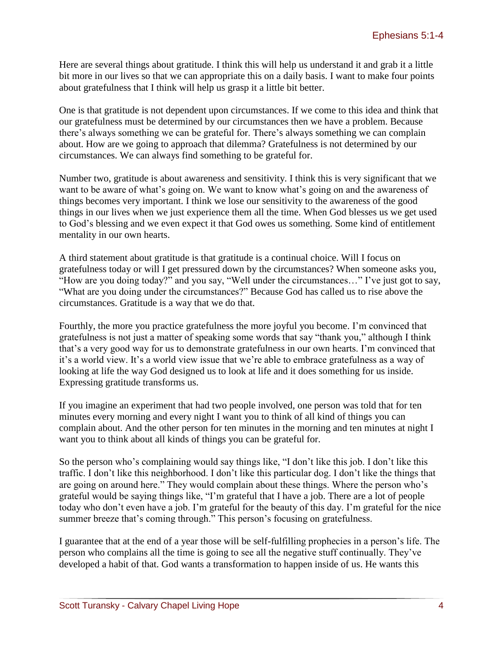Here are several things about gratitude. I think this will help us understand it and grab it a little bit more in our lives so that we can appropriate this on a daily basis. I want to make four points about gratefulness that I think will help us grasp it a little bit better.

One is that gratitude is not dependent upon circumstances. If we come to this idea and think that our gratefulness must be determined by our circumstances then we have a problem. Because there's always something we can be grateful for. There's always something we can complain about. How are we going to approach that dilemma? Gratefulness is not determined by our circumstances. We can always find something to be grateful for.

Number two, gratitude is about awareness and sensitivity. I think this is very significant that we want to be aware of what's going on. We want to know what's going on and the awareness of things becomes very important. I think we lose our sensitivity to the awareness of the good things in our lives when we just experience them all the time. When God blesses us we get used to God's blessing and we even expect it that God owes us something. Some kind of entitlement mentality in our own hearts.

A third statement about gratitude is that gratitude is a continual choice. Will I focus on gratefulness today or will I get pressured down by the circumstances? When someone asks you, "How are you doing today?" and you say, "Well under the circumstances…" I've just got to say, "What are you doing under the circumstances?" Because God has called us to rise above the circumstances. Gratitude is a way that we do that.

Fourthly, the more you practice gratefulness the more joyful you become. I'm convinced that gratefulness is not just a matter of speaking some words that say "thank you," although I think that's a very good way for us to demonstrate gratefulness in our own hearts. I'm convinced that it's a world view. It's a world view issue that we're able to embrace gratefulness as a way of looking at life the way God designed us to look at life and it does something for us inside. Expressing gratitude transforms us.

If you imagine an experiment that had two people involved, one person was told that for ten minutes every morning and every night I want you to think of all kind of things you can complain about. And the other person for ten minutes in the morning and ten minutes at night I want you to think about all kinds of things you can be grateful for.

So the person who's complaining would say things like, "I don't like this job. I don't like this traffic. I don't like this neighborhood. I don't like this particular dog. I don't like the things that are going on around here." They would complain about these things. Where the person who's grateful would be saying things like, "I'm grateful that I have a job. There are a lot of people today who don't even have a job. I'm grateful for the beauty of this day. I'm grateful for the nice summer breeze that's coming through." This person's focusing on gratefulness.

I guarantee that at the end of a year those will be self-fulfilling prophecies in a person's life. The person who complains all the time is going to see all the negative stuff continually. They've developed a habit of that. God wants a transformation to happen inside of us. He wants this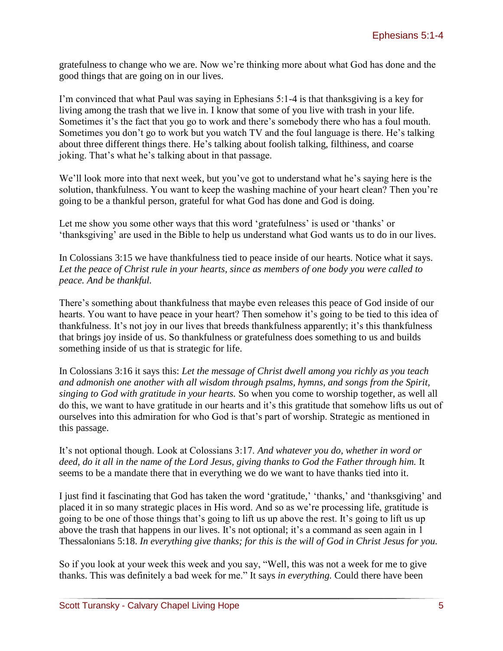gratefulness to change who we are. Now we're thinking more about what God has done and the good things that are going on in our lives.

I'm convinced that what Paul was saying in Ephesians 5:1-4 is that thanksgiving is a key for living among the trash that we live in. I know that some of you live with trash in your life. Sometimes it's the fact that you go to work and there's somebody there who has a foul mouth. Sometimes you don't go to work but you watch TV and the foul language is there. He's talking about three different things there. He's talking about foolish talking, filthiness, and coarse joking. That's what he's talking about in that passage.

We'll look more into that next week, but you've got to understand what he's saying here is the solution, thankfulness. You want to keep the washing machine of your heart clean? Then you're going to be a thankful person, grateful for what God has done and God is doing.

Let me show you some other ways that this word 'gratefulness' is used or 'thanks' or 'thanksgiving' are used in the Bible to help us understand what God wants us to do in our lives.

In Colossians 3:15 we have thankfulness tied to peace inside of our hearts. Notice what it says. *Let the peace of Christ rule in your hearts, since as members of one body you were called to peace. And be thankful.*

There's something about thankfulness that maybe even releases this peace of God inside of our hearts. You want to have peace in your heart? Then somehow it's going to be tied to this idea of thankfulness. It's not joy in our lives that breeds thankfulness apparently; it's this thankfulness that brings joy inside of us. So thankfulness or gratefulness does something to us and builds something inside of us that is strategic for life.

In Colossians 3:16 it says this: *Let the message of Christ dwell among you richly as you teach and admonish one another with all wisdom through psalms, hymns, and songs from the Spirit, singing to God with gratitude in your hearts.* So when you come to worship together, as well all do this, we want to have gratitude in our hearts and it's this gratitude that somehow lifts us out of ourselves into this admiration for who God is that's part of worship. Strategic as mentioned in this passage.

It's not optional though. Look at Colossians 3:17. *And whatever you do, whether in word or deed, do it all in the name of the Lord Jesus, giving thanks to God the Father through him.* It seems to be a mandate there that in everything we do we want to have thanks tied into it.

I just find it fascinating that God has taken the word 'gratitude,' 'thanks,' and 'thanksgiving' and placed it in so many strategic places in His word. And so as we're processing life, gratitude is going to be one of those things that's going to lift us up above the rest. It's going to lift us up above the trash that happens in our lives. It's not optional; it's a command as seen again in 1 Thessalonians 5:18. *In everything give thanks; for this is the will of God in Christ Jesus for you.* 

So if you look at your week this week and you say, "Well, this was not a week for me to give thanks. This was definitely a bad week for me." It says *in everything.* Could there have been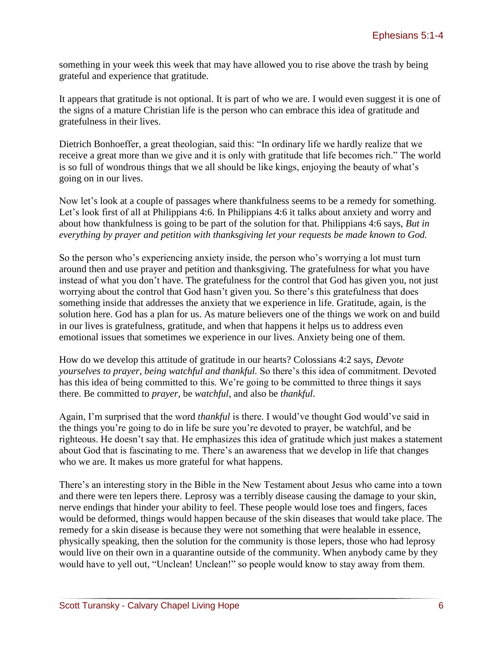something in your week this week that may have allowed you to rise above the trash by being grateful and experience that gratitude.

It appears that gratitude is not optional. It is part of who we are. I would even suggest it is one of the signs of a mature Christian life is the person who can embrace this idea of gratitude and gratefulness in their lives.

Dietrich Bonhoeffer, a great theologian, said this: "In ordinary life we hardly realize that we receive a great more than we give and it is only with gratitude that life becomes rich." The world is so full of wondrous things that we all should be like kings, enjoying the beauty of what's going on in our lives.

Now let's look at a couple of passages where thankfulness seems to be a remedy for something. Let's look first of all at Philippians 4:6. In Philippians 4:6 it talks about anxiety and worry and about how thankfulness is going to be part of the solution for that. Philippians 4:6 says, *But in everything by prayer and petition with thanksgiving let your requests be made known to God.* 

So the person who's experiencing anxiety inside, the person who's worrying a lot must turn around then and use prayer and petition and thanksgiving. The gratefulness for what you have instead of what you don't have. The gratefulness for the control that God has given you, not just worrying about the control that God hasn't given you. So there's this gratefulness that does something inside that addresses the anxiety that we experience in life. Gratitude, again, is the solution here. God has a plan for us. As mature believers one of the things we work on and build in our lives is gratefulness, gratitude, and when that happens it helps us to address even emotional issues that sometimes we experience in our lives. Anxiety being one of them.

How do we develop this attitude of gratitude in our hearts? Colossians 4:2 says, *Devote yourselves to prayer, being watchful and thankful.* So there's this idea of commitment. Devoted has this idea of being committed to this. We're going to be committed to three things it says there. Be committed to *prayer*, be *watchful*, and also be *thankful*.

Again, I'm surprised that the word *thankful* is there. I would've thought God would've said in the things you're going to do in life be sure you're devoted to prayer, be watchful, and be righteous. He doesn't say that. He emphasizes this idea of gratitude which just makes a statement about God that is fascinating to me. There's an awareness that we develop in life that changes who we are. It makes us more grateful for what happens.

There's an interesting story in the Bible in the New Testament about Jesus who came into a town and there were ten lepers there. Leprosy was a terribly disease causing the damage to your skin, nerve endings that hinder your ability to feel. These people would lose toes and fingers, faces would be deformed, things would happen because of the skin diseases that would take place. The remedy for a skin disease is because they were not something that were healable in essence, physically speaking, then the solution for the community is those lepers, those who had leprosy would live on their own in a quarantine outside of the community. When anybody came by they would have to yell out, "Unclean! Unclean!" so people would know to stay away from them.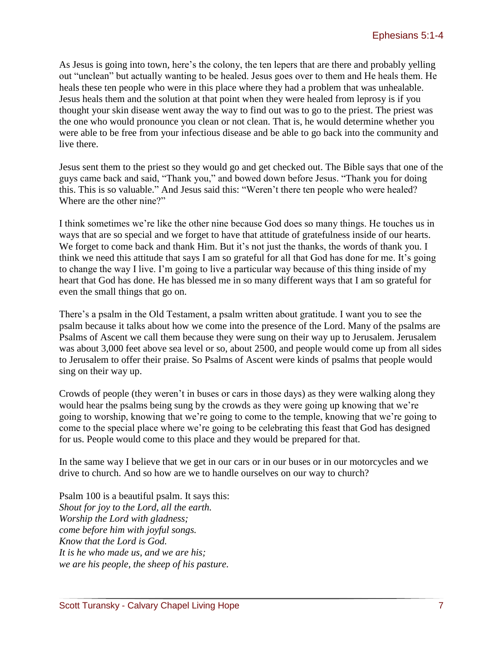As Jesus is going into town, here's the colony, the ten lepers that are there and probably yelling out "unclean" but actually wanting to be healed. Jesus goes over to them and He heals them. He heals these ten people who were in this place where they had a problem that was unhealable. Jesus heals them and the solution at that point when they were healed from leprosy is if you thought your skin disease went away the way to find out was to go to the priest. The priest was the one who would pronounce you clean or not clean. That is, he would determine whether you were able to be free from your infectious disease and be able to go back into the community and live there.

Jesus sent them to the priest so they would go and get checked out. The Bible says that one of the guys came back and said, "Thank you," and bowed down before Jesus. "Thank you for doing this. This is so valuable." And Jesus said this: "Weren't there ten people who were healed? Where are the other nine?"

I think sometimes we're like the other nine because God does so many things. He touches us in ways that are so special and we forget to have that attitude of gratefulness inside of our hearts. We forget to come back and thank Him. But it's not just the thanks, the words of thank you. I think we need this attitude that says I am so grateful for all that God has done for me. It's going to change the way I live. I'm going to live a particular way because of this thing inside of my heart that God has done. He has blessed me in so many different ways that I am so grateful for even the small things that go on.

There's a psalm in the Old Testament, a psalm written about gratitude. I want you to see the psalm because it talks about how we come into the presence of the Lord. Many of the psalms are Psalms of Ascent we call them because they were sung on their way up to Jerusalem. Jerusalem was about 3,000 feet above sea level or so, about 2500, and people would come up from all sides to Jerusalem to offer their praise. So Psalms of Ascent were kinds of psalms that people would sing on their way up.

Crowds of people (they weren't in buses or cars in those days) as they were walking along they would hear the psalms being sung by the crowds as they were going up knowing that we're going to worship, knowing that we're going to come to the temple, knowing that we're going to come to the special place where we're going to be celebrating this feast that God has designed for us. People would come to this place and they would be prepared for that.

In the same way I believe that we get in our cars or in our buses or in our motorcycles and we drive to church. And so how are we to handle ourselves on our way to church?

Psalm 100 is a beautiful psalm. It says this: *Shout for joy to the Lord, all the earth. Worship the Lord with gladness; come before him with joyful songs. Know that the Lord is God. It is he who made us, and we are his; we are his people, the sheep of his pasture.*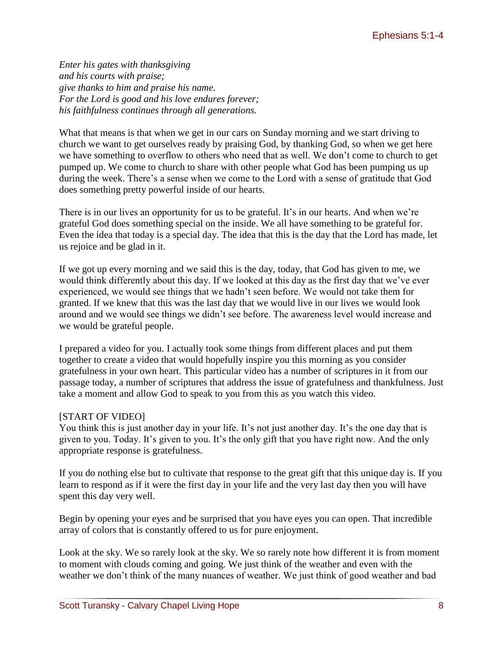*Enter his gates with thanksgiving and his courts with praise; give thanks to him and praise his name. For the Lord is good and his love endures forever; his faithfulness continues through all generations.*

What that means is that when we get in our cars on Sunday morning and we start driving to church we want to get ourselves ready by praising God, by thanking God, so when we get here we have something to overflow to others who need that as well. We don't come to church to get pumped up. We come to church to share with other people what God has been pumping us up during the week. There's a sense when we come to the Lord with a sense of gratitude that God does something pretty powerful inside of our hearts.

There is in our lives an opportunity for us to be grateful. It's in our hearts. And when we're grateful God does something special on the inside. We all have something to be grateful for. Even the idea that today is a special day. The idea that this is the day that the Lord has made, let us rejoice and be glad in it.

If we got up every morning and we said this is the day, today, that God has given to me, we would think differently about this day. If we looked at this day as the first day that we've ever experienced, we would see things that we hadn't seen before. We would not take them for granted. If we knew that this was the last day that we would live in our lives we would look around and we would see things we didn't see before. The awareness level would increase and we would be grateful people.

I prepared a video for you. I actually took some things from different places and put them together to create a video that would hopefully inspire you this morning as you consider gratefulness in your own heart. This particular video has a number of scriptures in it from our passage today, a number of scriptures that address the issue of gratefulness and thankfulness. Just take a moment and allow God to speak to you from this as you watch this video.

## [START OF VIDEO]

You think this is just another day in your life. It's not just another day. It's the one day that is given to you. Today. It's given to you. It's the only gift that you have right now. And the only appropriate response is gratefulness.

If you do nothing else but to cultivate that response to the great gift that this unique day is. If you learn to respond as if it were the first day in your life and the very last day then you will have spent this day very well.

Begin by opening your eyes and be surprised that you have eyes you can open. That incredible array of colors that is constantly offered to us for pure enjoyment.

Look at the sky. We so rarely look at the sky. We so rarely note how different it is from moment to moment with clouds coming and going. We just think of the weather and even with the weather we don't think of the many nuances of weather. We just think of good weather and bad